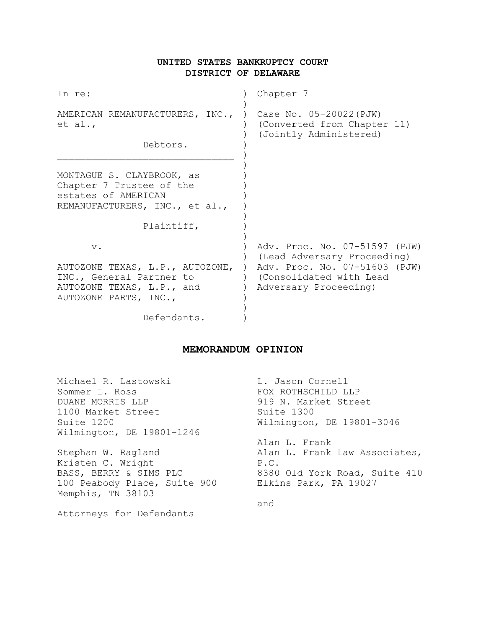# **UNITED STATES BANKRUPTCY COURT DISTRICT OF DELAWARE**

| In re:                                                                                                         | Chapter 7                                                                                                                       |
|----------------------------------------------------------------------------------------------------------------|---------------------------------------------------------------------------------------------------------------------------------|
| AMERICAN REMANUFACTURERS, INC.,<br>et al.,                                                                     | Case No. 05-20022 (PJW)<br>(Converted from Chapter 11)<br>(Jointly Administered)                                                |
| Debtors.                                                                                                       |                                                                                                                                 |
| MONTAGUE S. CLAYBROOK, as<br>Chapter 7 Trustee of the<br>estates of AMERICAN<br>REMANUFACTURERS, INC., et al., |                                                                                                                                 |
| Plaintiff,                                                                                                     |                                                                                                                                 |
| $V$ .                                                                                                          | Adv. Proc. No. 07-51597 (PJW)<br>(Lead Adversary Proceeding)<br>AUTOZONE TEXAS, L.P., AUTOZONE, ) Adv. Proc. No. 07-51603 (PJW) |
| INC., General Partner to<br>AUTOZONE TEXAS, L.P., and<br>AUTOZONE PARTS, INC.,                                 | ) (Consolidated with Lead<br>Adversary Proceeding)                                                                              |
| Defendants.                                                                                                    |                                                                                                                                 |

## **MEMORANDUM OPINION**

| Michael R. Lastowski         | L. Jason Cornell              |
|------------------------------|-------------------------------|
| Sommer L. Ross               | FOX ROTHSCHILD LLP            |
| DUANE MORRIS LLP             | 919 N. Market Street          |
| 1100 Market Street           | Suite 1300                    |
| Suite 1200                   | Wilmington, DE 19801-3046     |
| Wilmington, DE 19801-1246    |                               |
|                              | Alan L. Frank                 |
| Stephan W. Ragland           | Alan L. Frank Law Associates, |
| Kristen C. Wright            | P.C.                          |
| BASS, BERRY & SIMS PLC       | 8380 Old York Road, Suite 410 |
| 100 Peabody Place, Suite 900 | Elkins Park, PA 19027         |
| Memphis, TN 38103            |                               |
|                              | and                           |
| Attorneys for Defendants     |                               |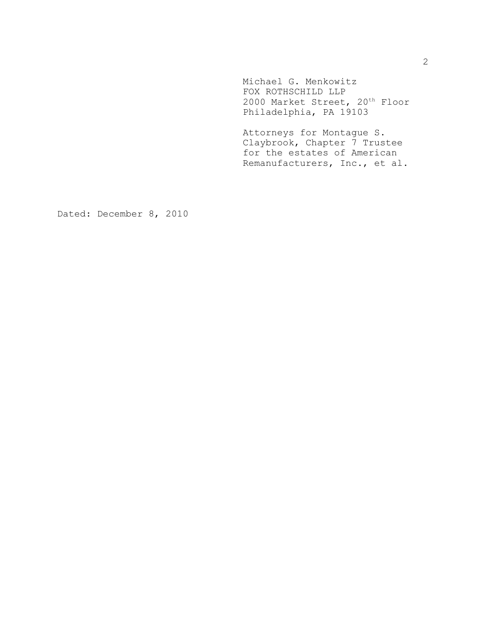Michael G. Menkowitz FOX ROTHSCHILD LLP 2000 Market Street, 20<sup>th</sup> Floor Philadelphia, PA 19103

Attorneys for Montague S. Claybrook, Chapter 7 Trustee for the estates of American Remanufacturers, Inc., et al.

Dated: December 8, 2010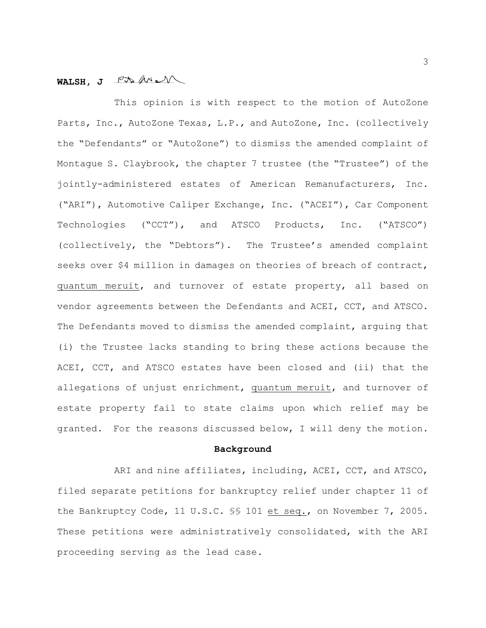# WALSH, J<sup>PAMM</sup>

This opinion is with respect to the motion of AutoZone Parts, Inc., AutoZone Texas, L.P., and AutoZone, Inc. (collectively the "Defendants" or "AutoZone") to dismiss the amended complaint of Montague S. Claybrook, the chapter 7 trustee (the "Trustee") of the jointly-administered estates of American Remanufacturers, Inc. ("ARI"), Automotive Caliper Exchange, Inc. ("ACEI"), Car Component Technologies ("CCT"), and ATSCO Products, Inc. ("ATSCO") (collectively, the "Debtors"). The Trustee's amended complaint seeks over \$4 million in damages on theories of breach of contract, quantum meruit, and turnover of estate property, all based on vendor agreements between the Defendants and ACEI, CCT, and ATSCO. The Defendants moved to dismiss the amended complaint, arguing that (i) the Trustee lacks standing to bring these actions because the ACEI, CCT, and ATSCO estates have been closed and (ii) that the allegations of unjust enrichment, quantum meruit, and turnover of estate property fail to state claims upon which relief may be granted. For the reasons discussed below, I will deny the motion.

### **Background**

ARI and nine affiliates, including, ACEI, CCT, and ATSCO, filed separate petitions for bankruptcy relief under chapter 11 of the Bankruptcy Code, 11 U.S.C. §§ 101 et seq., on November 7, 2005. These petitions were administratively consolidated, with the ARI proceeding serving as the lead case.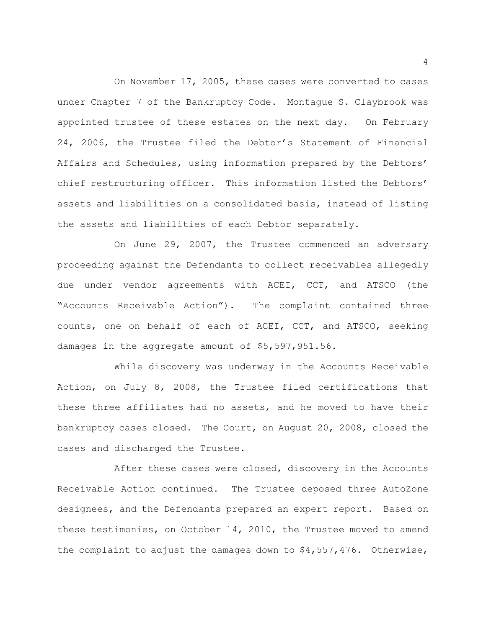On November 17, 2005, these cases were converted to cases under Chapter 7 of the Bankruptcy Code. Montague S. Claybrook was appointed trustee of these estates on the next day. On February 24, 2006, the Trustee filed the Debtor's Statement of Financial Affairs and Schedules, using information prepared by the Debtors' chief restructuring officer. This information listed the Debtors' assets and liabilities on a consolidated basis, instead of listing the assets and liabilities of each Debtor separately.

On June 29, 2007, the Trustee commenced an adversary proceeding against the Defendants to collect receivables allegedly due under vendor agreements with ACEI, CCT, and ATSCO (the "Accounts Receivable Action"). The complaint contained three counts, one on behalf of each of ACEI, CCT, and ATSCO, seeking damages in the aggregate amount of \$5,597,951.56.

While discovery was underway in the Accounts Receivable Action, on July 8, 2008, the Trustee filed certifications that these three affiliates had no assets, and he moved to have their bankruptcy cases closed. The Court, on August 20, 2008, closed the cases and discharged the Trustee.

After these cases were closed, discovery in the Accounts Receivable Action continued. The Trustee deposed three AutoZone designees, and the Defendants prepared an expert report. Based on these testimonies, on October 14, 2010, the Trustee moved to amend the complaint to adjust the damages down to \$4,557,476. Otherwise,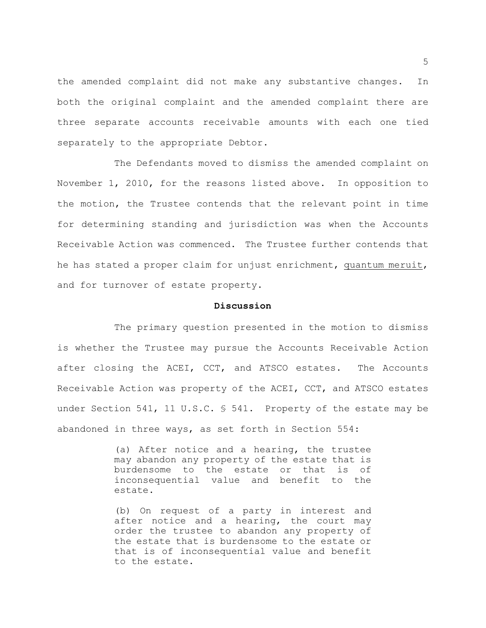the amended complaint did not make any substantive changes. In both the original complaint and the amended complaint there are three separate accounts receivable amounts with each one tied separately to the appropriate Debtor.

The Defendants moved to dismiss the amended complaint on November 1, 2010, for the reasons listed above. In opposition to the motion, the Trustee contends that the relevant point in time for determining standing and jurisdiction was when the Accounts Receivable Action was commenced. The Trustee further contends that he has stated a proper claim for unjust enrichment, quantum meruit, and for turnover of estate property.

#### **Discussion**

The primary question presented in the motion to dismiss is whether the Trustee may pursue the Accounts Receivable Action after closing the ACEI, CCT, and ATSCO estates. The Accounts Receivable Action was property of the ACEI, CCT, and ATSCO estates under Section 541, 11 U.S.C. § 541. Property of the estate may be abandoned in three ways, as set forth in Section 554:

> (a) After notice and a hearing, the trustee may abandon any property of the estate that is burdensome to the estate or that is of inconsequential value and benefit to the estate.

> (b) On request of a party in interest and after notice and a hearing, the court may order the trustee to abandon any property of the estate that is burdensome to the estate or that is of inconsequential value and benefit to the estate.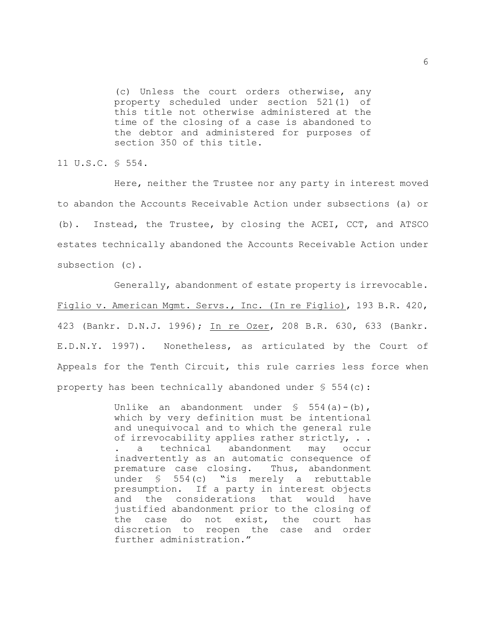(c) Unless the court orders otherwise, any property scheduled under section 521(1) of this title not otherwise administered at the time of the closing of a case is abandoned to the debtor and administered for purposes of section 350 of this title.

11 U.S.C. § 554.

Here, neither the Trustee nor any party in interest moved to abandon the Accounts Receivable Action under subsections (a) or (b). Instead, the Trustee, by closing the ACEI, CCT, and ATSCO estates technically abandoned the Accounts Receivable Action under subsection (c).

Generally, abandonment of estate property is irrevocable. Figlio v. American Mgmt. Servs., Inc. (In re Figlio), 193 B.R. 420, 423 (Bankr. D.N.J. 1996); In re Ozer, 208 B.R. 630, 633 (Bankr. E.D.N.Y. 1997). Nonetheless, as articulated by the Court of Appeals for the Tenth Circuit, this rule carries less force when property has been technically abandoned under  $\S$  554(c):

> Unlike an abandonment under  $\S$  554(a)-(b), which by very definition must be intentional and unequivocal and to which the general rule of irrevocability applies rather strictly, . . a technical abandonment may occur inadvertently as an automatic consequence of premature case closing. Thus, abandonment under § 554(c) "is merely a rebuttable presumption. If a party in interest objects and the considerations that would have justified abandonment prior to the closing of the case do not exist, the court has discretion to reopen the case and order further administration."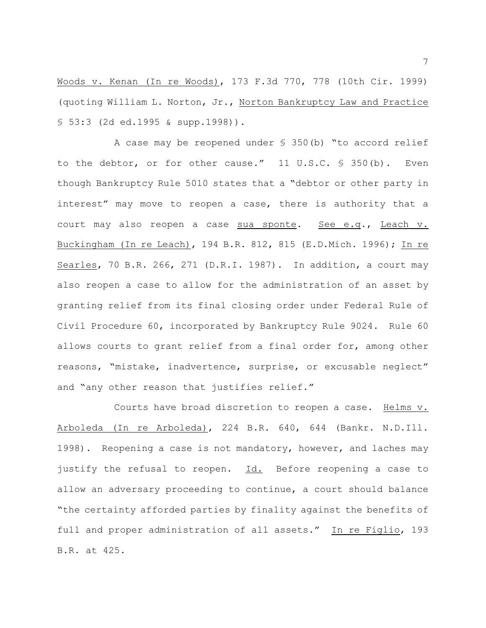Woods v. Kenan (In re Woods), 173 F.3d 770, 778 (10th Cir. 1999) (quoting William L. Norton, Jr., Norton Bankruptcy Law and Practice § 53:3 (2d ed.1995 & supp.1998)).

A case may be reopened under § 350(b) "to accord relief to the debtor, or for other cause." 11 U.S.C. § 350(b). Even though Bankruptcy Rule 5010 states that a "debtor or other party in interest" may move to reopen a case, there is authority that a court may also reopen a case sua sponte. See e.g., Leach v. Buckingham (In re Leach), 194 B.R. 812, 815 (E.D.Mich. 1996); In re Searles, 70 B.R. 266, 271 (D.R.I. 1987). In addition, a court may also reopen a case to allow for the administration of an asset by granting relief from its final closing order under Federal Rule of Civil Procedure 60, incorporated by Bankruptcy Rule 9024. Rule 60 allows courts to grant relief from a final order for, among other reasons, "mistake, inadvertence, surprise, or excusable neglect" and "any other reason that justifies relief."

Courts have broad discretion to reopen a case. Helms v. Arboleda (In re Arboleda), 224 B.R. 640, 644 (Bankr. N.D.Ill. 1998). Reopening a case is not mandatory, however, and laches may justify the refusal to reopen. Id.Before reopening a case to allow an adversary proceeding to continue, a court should balance "the certainty afforded parties by finality against the benefits of full and proper administration of all assets." In re Figlio, 193 B.R. at 425.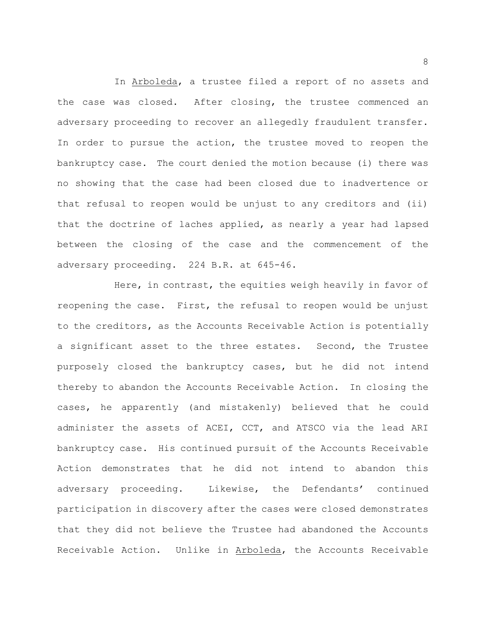In Arboleda, a trustee filed a report of no assets and the case was closed. After closing, the trustee commenced an adversary proceeding to recover an allegedly fraudulent transfer. In order to pursue the action, the trustee moved to reopen the bankruptcy case. The court denied the motion because (i) there was no showing that the case had been closed due to inadvertence or that refusal to reopen would be unjust to any creditors and (ii) that the doctrine of laches applied, as nearly a year had lapsed between the closing of the case and the commencement of the adversary proceeding. 224 B.R. at 645-46.

Here, in contrast, the equities weigh heavily in favor of reopening the case. First, the refusal to reopen would be unjust to the creditors, as the Accounts Receivable Action is potentially a significant asset to the three estates. Second, the Trustee purposely closed the bankruptcy cases, but he did not intend thereby to abandon the Accounts Receivable Action. In closing the cases, he apparently (and mistakenly) believed that he could administer the assets of ACEI, CCT, and ATSCO via the lead ARI bankruptcy case. His continued pursuit of the Accounts Receivable Action demonstrates that he did not intend to abandon this adversary proceeding. Likewise, the Defendants' continued participation in discovery after the cases were closed demonstrates that they did not believe the Trustee had abandoned the Accounts Receivable Action. Unlike in Arboleda, the Accounts Receivable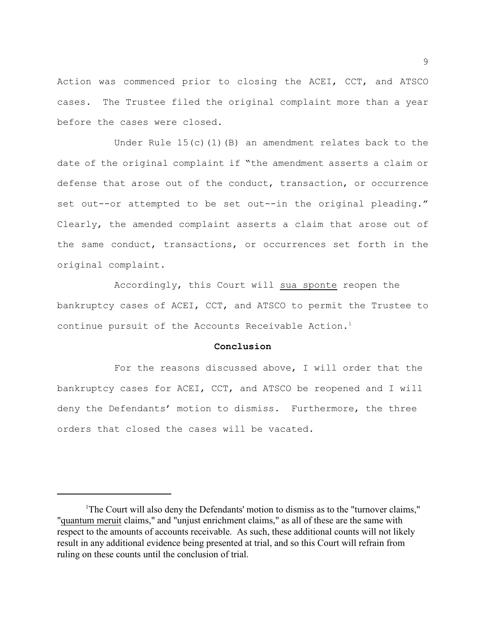Action was commenced prior to closing the ACEI, CCT, and ATSCO cases. The Trustee filed the original complaint more than a year before the cases were closed.

Under Rule  $15(c)(1)(B)$  an amendment relates back to the date of the original complaint if "the amendment asserts a claim or defense that arose out of the conduct, transaction, or occurrence set out--or attempted to be set out--in the original pleading." Clearly, the amended complaint asserts a claim that arose out of the same conduct, transactions, or occurrences set forth in the original complaint.

Accordingly, this Court will sua sponte reopen the bankruptcy cases of ACEI, CCT, and ATSCO to permit the Trustee to continue pursuit of the Accounts Receivable Action.<sup>1</sup>

#### **Conclusion**

For the reasons discussed above, I will order that the bankruptcy cases for ACEI, CCT, and ATSCO be reopened and I will deny the Defendants' motion to dismiss. Furthermore, the three orders that closed the cases will be vacated.

<sup>&</sup>lt;sup>1</sup>The Court will also deny the Defendants' motion to dismiss as to the "turnover claims," "quantum meruit claims," and "unjust enrichment claims," as all of these are the same with respect to the amounts of accounts receivable. As such, these additional counts will not likely result in any additional evidence being presented at trial, and so this Court will refrain from ruling on these counts until the conclusion of trial.